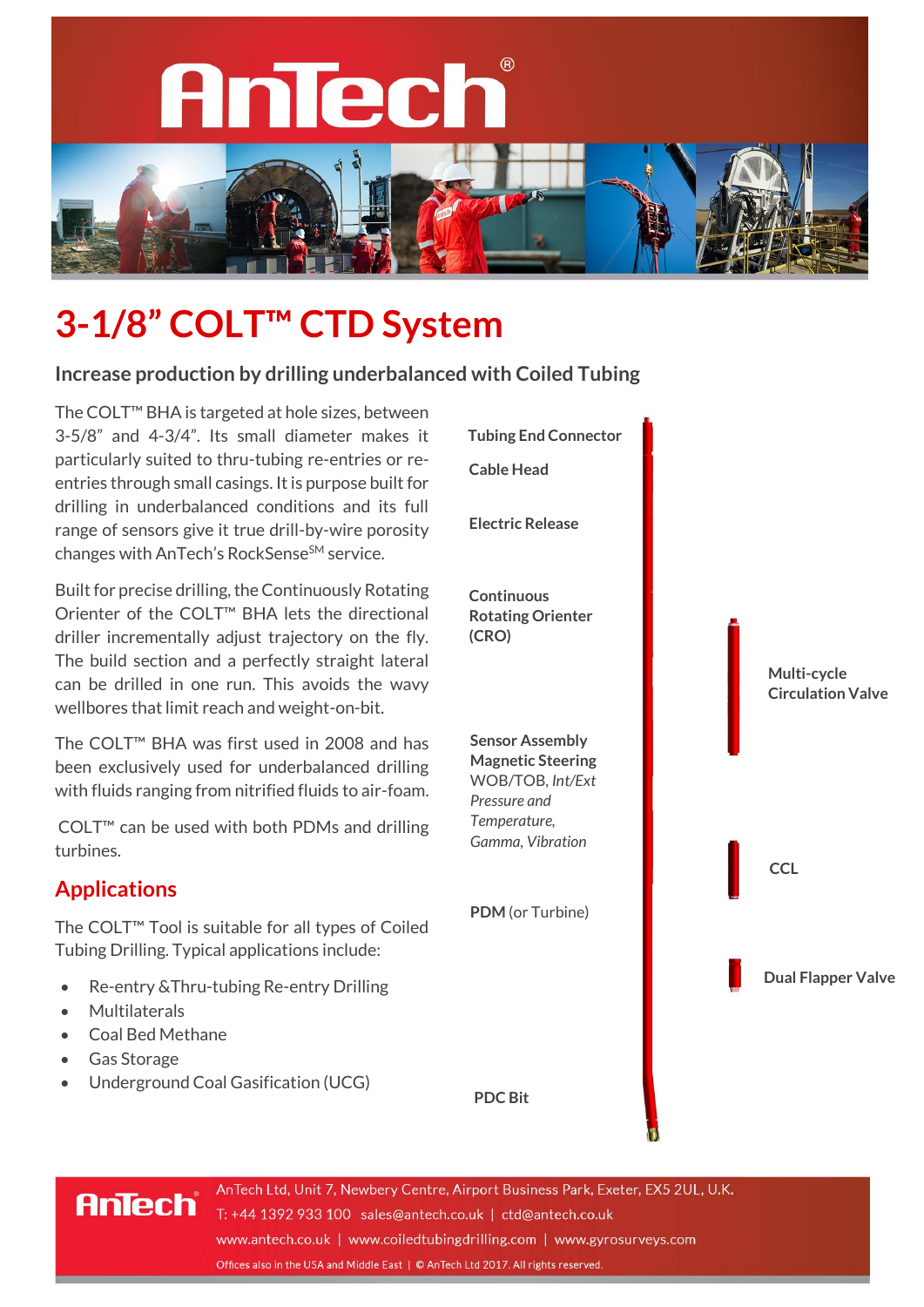

# **3-1/8" COLT™ CTD System**

#### **Increase production by drilling underbalanced with Coiled Tubing**

The COLT™ BHA is targeted at hole sizes, between 3-5/8" and 4-3/4". Its small diameter makes it particularly suited to thru-tubing re-entries or reentries through small casings. It is purpose built for drilling in underbalanced conditions and its full range of sensors give it true drill-by-wire porosity changes with AnTech's RockSense<sup>SM</sup> service.

Built for precise drilling, the Continuously Rotating Orienter of the COLT™ BHA lets the directional driller incrementally adjust trajectory on the fly. The build section and a perfectly straight lateral can be drilled in one run. This avoids the wavy wellbores that limit reach and weight-on-bit.

The COLT™ BHA was first used in 2008 and has been exclusively used for underbalanced drilling with fluids ranging from nitrified fluids to air-foam.

COLT™ can be used with both PDMs and drilling turbines.

## **Applications**

The COLT™ Tool is suitable for all types of Coiled Tubing Drilling. Typical applications include:

- Re-entry &Thru-tubing Re-entry Drilling
- **Multilaterals**
- Coal Bed Methane

**AnTech** 

- Gas Storage
- Underground Coal Gasification (UCG)

**Tubing End Connector Cable Head Electric Release Continuous Rotating Orienter (CRO) Multi-cycle Circulation Valve CCL Dual Flapper Valve PDM** (or Turbine) **Sensor Assembly Magnetic Steering** WOB/TOB, *Int/Ext Pressure and Temperature, Gamma, Vibration*

AnTech Ltd, Unit 7, Newbery Centre, Airport Business Park, Exeter, EX5 2UL, U.K. T: +44 1392 933 100 sales@antech.co.uk | ctd@antech.co.uk www.antech.co.uk | www.coiledtubingdrilling.com | www.gyrosurveys.com Offices also in the USA and Middle East | © AnTech Ltd 2017. All rights reserved.

**PDC Bit**